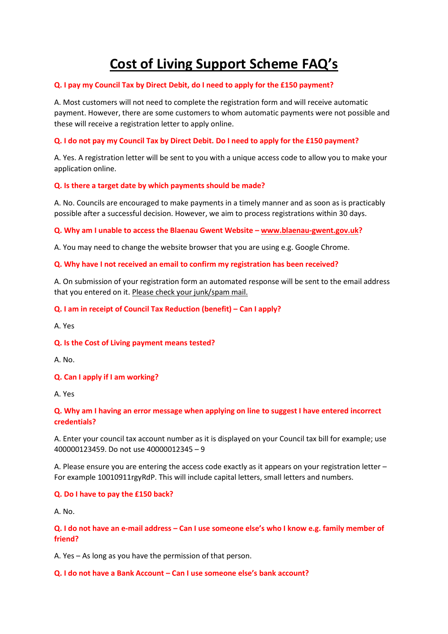# **Cost of Living Support Scheme FAQ's**

#### **Q. I pay my Council Tax by Direct Debit, do I need to apply for the £150 payment?**

A. Most customers will not need to complete the registration form and will receive automatic payment. However, there are some customers to whom automatic payments were not possible and these will receive a registration letter to apply online.

#### **Q. I do not pay my Council Tax by Direct Debit. Do I need to apply for the £150 payment?**

A. Yes. A registration letter will be sent to you with a unique access code to allow you to make your application online.

#### **Q. Is there a target date by which payments should be made?**

A. No. Councils are encouraged to make payments in a timely manner and as soon as is practicably possible after a successful decision. However, we aim to process registrations within 30 days.

**Q. Why am I unable to access the Blaenau Gwent Website – [www.blaenau-gwent.gov.uk?](http://www.blaenau-gwent.gov.uk/)**

A. You may need to change the website browser that you are using e.g. Google Chrome.

#### **Q. Why have I not received an email to confirm my registration has been received?**

A. On submission of your registration form an automated response will be sent to the email address that you entered on it. Please check your junk/spam mail.

#### **Q. I am in receipt of Council Tax Reduction (benefit) – Can I apply?**

A. Yes

**Q. Is the Cost of Living payment means tested?**

A. No.

#### **Q. Can I apply if I am working?**

A. Yes

### **Q. Why am I having an error message when applying on line to suggest I have entered incorrect credentials?**

A. Enter your council tax account number as it is displayed on your Council tax bill for example; use 400000123459. Do not use 40000012345 – 9

A. Please ensure you are entering the access code exactly as it appears on your registration letter – For example 10010911rgyRdP. This will include capital letters, small letters and numbers.

#### **Q. Do I have to pay the £150 back?**

A. No.

**Q. I do not have an e-mail address – Can I use someone else's who I know e.g. family member of friend?** 

A. Yes – As long as you have the permission of that person.

#### **Q. I do not have a Bank Account – Can I use someone else's bank account?**